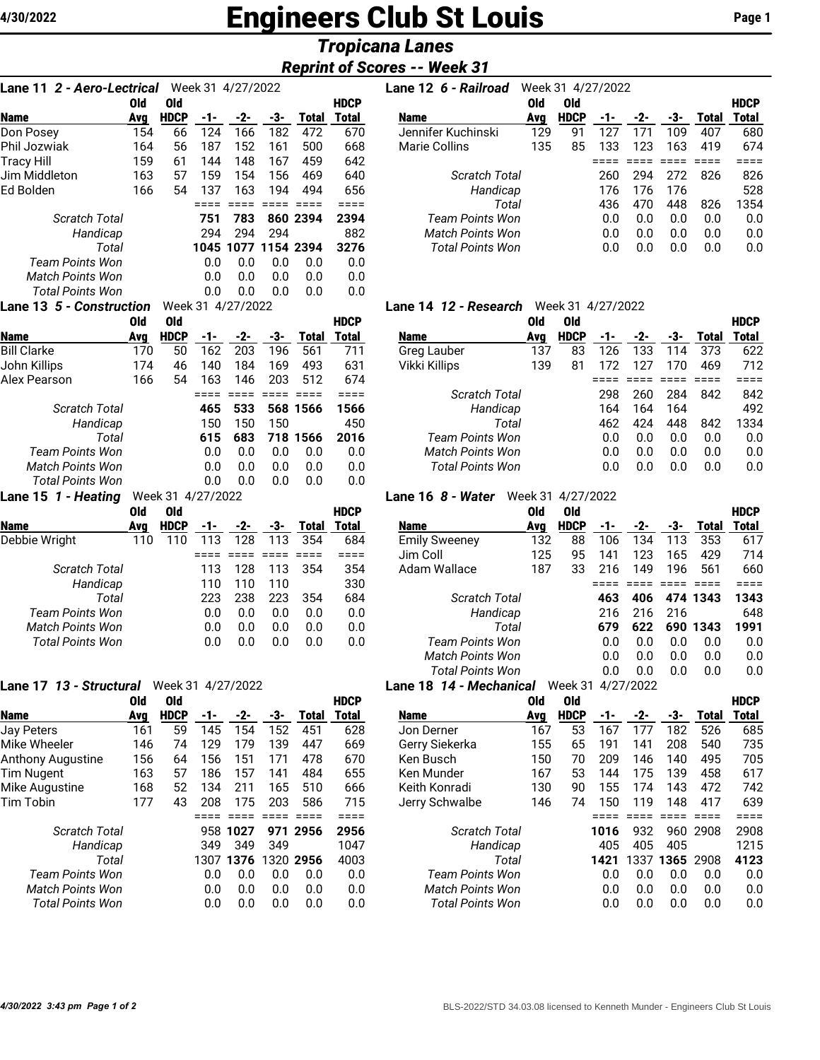# **4/30/2022 Engineers Club St Louis Page 1**

# *Tropicana Lanes*

# *Reprint of Scores -- Week 31*

| 2 - Aero-Lectrical<br>Lane 11 |            |                   |        | Week 31 4/27/2022 |                 |                 |              |
|-------------------------------|------------|-------------------|--------|-------------------|-----------------|-----------------|--------------|
|                               | <b>Old</b> | <b>Old</b>        |        |                   |                 |                 | <b>HDCP</b>  |
| <b>Name</b>                   | Avg        | <b>HDCP</b>       | -1-    | $-2-$             | -3-             | <b>Total</b>    | <b>Total</b> |
| Don Posey                     | 154        | 66                | 124    | 166               | 182             | 472             | 670          |
| Phil Jozwiak                  | 164        | 56                | 187    | 152               | 161             | 500             | 668          |
| Tracy Hill                    | 159        | 61                | 144    | 148               | 167             | 459             | 642          |
| Jim Middleton                 | 163        | 57                | 159    | 154               | 156             | 469             | 640          |
| Ed Bolden                     | 166        | 54                | 137    | 163               | 194             | 494             | 656          |
|                               |            |                   | ====   | $== ==$           | $=$ $=$ $=$ $=$ | $=$ $=$ $=$ $=$ | $====$       |
| <b>Scratch Total</b>          |            |                   | 751    | 783               |                 | 860 2394        | 2394         |
| Handicap                      |            |                   | 294    | 294               | 294             |                 | 882          |
| Total                         |            |                   | 1045   | 1077              |                 | 1154 2394       | 3276         |
| Team Points Won               |            |                   | 0.0    | 0.0               | 0.0             | 0.0             | 0.0          |
| <b>Match Points Won</b>       |            |                   | 0.0    | 0.0               | 0.0             | 0.0             | 0.0          |
| <b>Total Points Won</b>       |            |                   | 0.0    | 0.0               | 0.0             | 0.0             | 0.0          |
| Lane 13 5 - Construction      |            |                   |        | Week 31 4/27/2022 |                 |                 |              |
|                               | <b>Old</b> | <b>Old</b>        |        |                   |                 |                 | <b>HDCP</b>  |
| <b>Name</b>                   | Avg        | <b>HDCP</b>       | -1-    | $-2-$             | -3-             | <b>Total</b>    | <b>Total</b> |
| <b>Bill Clarke</b>            | 170        | 50                | 162    | 203               | 196             | 561             | 711          |
| John Killips                  | 174        | 46                | 140    | 184               | 169             | 493             | 631          |
| <b>Alex Pearson</b>           | 166        | 54                | 163    | 146               | 203             | 512             | 674          |
|                               |            |                   | $====$ | $====$            | $====$          | ====            | $====$       |
| <b>Scratch Total</b>          |            |                   | 465    | 533               | 568             | 1566            | 1566         |
| Handicap                      |            |                   | 150    | 150               | 150             |                 | 450          |
| Total                         |            |                   | 615    | 683               | 718             | 1566            | 2016         |
| <b>Team Points Won</b>        |            |                   | 0.0    | 0.0               | 0.0             | 0.0             | 0.0          |
| <b>Match Points Won</b>       |            |                   | 0.0    | 0.0               | 0.0             | 0.0             | 0.0          |
| <b>Total Points Won</b>       |            |                   | 0.0    | 0.0               | 0.0             | 0.0             | 0.0          |
| Lane 15 1 - Heating           |            | Week 31 4/27/2022 |        |                   |                 |                 |              |
|                               | Old        | <b>Old</b>        |        |                   |                 |                 | <b>HDCP</b>  |
| <b>Name</b>                   | Avg        | <b>HDCP</b>       | -1-    | -2-               | -3-             | Total           | <b>Total</b> |
| Debbie Wright                 | 110        | 110               | 113    | 128               | 113             | 354             | 684          |
|                               |            |                   | ====   | $====$            | $====$          | $====$          | $== ==$      |
| <b>Scratch Total</b>          |            |                   | 113    | 128               | 113             | 354             | 354          |
| Handicap                      |            |                   | 110    | 110               | 110             |                 | 330          |
| Total                         |            |                   | 223    | 238               | 223             | 354             | 684          |
| Team Points Won               |            |                   | 0.0    | 0.0               | 0.0             | 0.0             | 0.0          |
| <b>Match Points Won</b>       |            |                   | 0.0    | 0.0               | 0.0             | 0.0             | 0.0          |
| <b>Total Points Won</b>       |            |                   | 0.0    | 0.0               | 0.0             | 0.0             | 0.0          |
|                               |            |                   |        |                   |                 |                 |              |

| Lane 17 13 - Structural  |     | Week 31 4/27/2022 |      |      |     |              |              |
|--------------------------|-----|-------------------|------|------|-----|--------------|--------------|
|                          | Old | Old               |      |      |     |              | <b>HDCP</b>  |
| <b>Name</b>              | Avg | <b>HDCP</b>       | -1-  | -2-  | -3- | <b>Total</b> | <b>Total</b> |
| <b>Jay Peters</b>        | 161 | 59                | 145  | 154  | 152 | 451          | 628          |
| Mike Wheeler             | 146 | 74                | 129  | 179  | 139 | 447          | 669          |
| <b>Anthony Augustine</b> | 156 | 64                | 156  | 151  | 171 | 478          | 670          |
| <b>Tim Nugent</b>        | 163 | 57                | 186  | 157  | 141 | 484          | 655          |
| Mike Augustine           | 168 | 52                | 134  | 211  | 165 | 510          | 666          |
| <b>Tim Tobin</b>         | 177 | 43                | 208  | 175  | 203 | 586          | 715          |
|                          |     |                   |      |      |     |              | ===          |
| Scratch Total            |     |                   | 958  | 1027 |     | 971 2956     | 2956         |
| Handicap                 |     |                   | 349  | 349  | 349 |              | 1047         |
| Total                    |     |                   | 1307 | 1376 |     | 1320 2956    | 4003         |
| Team Points Won          |     |                   | 0.0  | 0.0  | 0.0 | 0.0          | 0.0          |
| <b>Match Points Won</b>  |     |                   | 0.0  | 0.0  | 0.0 | 0.0          | 0.0          |
| Total Points Won         |     |                   | 0.0  | 0.0  | 0.0 | 0.0          | 0.0          |

| <b>Lane 11 2 - Aero-Lectrical</b> Week 31 4/27/2022 |     |             |     |     |     |                     |              | Lane 12 6 - Railroad    |     | Week 31 4/27/2022 |     |     |     |              |             |
|-----------------------------------------------------|-----|-------------|-----|-----|-----|---------------------|--------------|-------------------------|-----|-------------------|-----|-----|-----|--------------|-------------|
|                                                     | Old | 0ld         |     |     |     |                     | <b>HDCP</b>  |                         | Old | 0ld               |     |     |     |              | <b>HDCP</b> |
| <b>Name</b>                                         | Avg | <b>HDCP</b> |     | -2- | -3- | <b>Total</b>        | <b>Total</b> | <b>Name</b>             | Avg | <b>HDCP</b>       | -1- | -2- | -3- | <b>Total</b> | Total       |
| Don Posey                                           | 154 | 66          | 124 | 166 | 182 | 472                 | 670          | Jennifer Kuchinski      | 129 | 91                | 127 | 171 | 109 | 407          | 680         |
| Phil Jozwiak                                        | 164 | 56          | 187 | 152 | 161 | 500                 | 668          | Marie Collins           | 135 | 85                | 133 | 123 | 163 | 419          | 674         |
| Tracy Hill                                          | 159 | 61          | 144 | 148 | 167 | 459                 | 642          |                         |     |                   |     |     |     |              |             |
| Jim Middleton                                       | 163 | 57          | 159 | 154 | 156 | 469                 | 640          | <b>Scratch Total</b>    |     |                   | 260 | 294 | 272 | 826          | 826         |
| Ed Bolden                                           | 166 | 54          | 137 | 163 | 194 | 494                 | 656          | Handicap                |     |                   | 176 | 176 | 176 |              | 528         |
|                                                     |     |             |     |     |     |                     |              | Total                   |     |                   | 436 | 470 | 448 | 826          | 1354        |
| Scratch Total                                       |     |             | 751 | 783 |     | 860 2394            | 2394         | Team Points Won         |     |                   | 0.0 | 0.0 | 0.0 | 0.0          | 0.0         |
| Handicap                                            |     |             | 294 | 294 | 294 |                     | 882          | <b>Match Points Won</b> |     |                   | 0.0 | 0.0 | 0.0 | 0.0          | 0.0         |
| Total                                               |     |             |     |     |     | 1045 1077 1154 2394 | 3276         | Total Points Won        |     |                   | 0.0 | 0.0 | 0.0 | 0.0          | 0.0         |
| Toom Dointe Wan                                     |     |             |     |     |     | aa aa aa aa         | $\cap$       |                         |     |                   |     |     |     |              |             |

# **Lane 14** *12 - Research* Week 31 4/27/2022

|                         | Old | 0ld         |     |     |      |          | <b>HDCP</b> |                         | Old | 0ld         |     |     |     |       | <b>HDCP</b> |
|-------------------------|-----|-------------|-----|-----|------|----------|-------------|-------------------------|-----|-------------|-----|-----|-----|-------|-------------|
| <b>Name</b>             | Avg | <b>HDCP</b> |     |     |      | Total    | Total       | <b>Name</b>             | Ava | <b>HDCP</b> |     |     | -3- | Total | Total       |
| Bill Clarke             | 170 | 50          | 162 | 203 | 196  | 561      | 711         | Greg Lauber             | 137 | 83          | '26 | 133 | 14  | 373   | 622         |
| John Killips            | 174 | 46          | 140 | 184 | 169  | 493      | 631         | Vikki Killips           | 139 | 81          |     | 127 | 170 | 469   | 712         |
| Alex Pearson            | 166 | 54          | 163 | 146 | 203  | 512      | 674         |                         |     |             |     |     |     |       |             |
|                         |     |             |     |     |      |          |             | <b>Scratch Total</b>    |     |             | 298 | 260 | 284 | 842   | 842         |
| Scratch Total           |     |             | 465 | 533 |      | 568 1566 | 1566        | Handicap                |     |             | 164 | 164 | 164 |       | 492         |
| Handicap                |     |             | 150 | 150 | 150  |          | 450         | Total                   |     |             | 462 | 424 | 448 | 842   | 1334        |
| Total                   |     |             | 615 | 683 | 718. | 1566     | 2016        | Team Points Won         |     |             | 0.0 | 0.0 | 0.0 | 0.0   | 0.0         |
| Team Points Won         |     |             | 0.0 | 0.0 | 0.0  | 0.0      | 0.0         | <b>Match Points Won</b> |     |             | 0.0 | 0.0 | 0.0 | 0.0   | 0.0         |
| <b>Match Points Won</b> |     |             | 0.0 | 0.0 | 0.0  | 0.0      | 0.0         | Total Points Won        |     |             | 0.0 | 0.0 | 0.0 | 0.0   | 0.0         |
| _ ._.                   |     |             |     |     |      |          |             |                         |     |             |     |     |     |       |             |

### **Lane 16** *8 - Water* Week 31 4/27/2022

|                         |     | .    | .      |     |     |       |              |                         |     |             |     |     |     |          |              |
|-------------------------|-----|------|--------|-----|-----|-------|--------------|-------------------------|-----|-------------|-----|-----|-----|----------|--------------|
|                         | Old | 0ld  |        |     |     |       | <b>HDCP</b>  |                         | Old | 0ld         |     |     |     |          | <b>HDCP</b>  |
| <b>Name</b>             | Ava | HDCP | - 1- 1 | -2- | -3- | Total | <b>Total</b> | <b>Name</b>             | Avg | <b>HDCP</b> |     | -2- | -3- | Total    | <b>Total</b> |
| Debbie Wright           | 110 | 110  | 113    | 128 | 113 | 354   | 684          | <b>Emily Sweeney</b>    | 132 | 88          | 106 | 134 | 113 | 353      | 617          |
|                         |     |      |        |     |     |       |              | Jim Coll                | 125 | 95          | 141 | 123 | 165 | 429      | 714          |
| <b>Scratch Total</b>    |     |      | 113    | 128 | 113 | 354   | 354          | Adam Wallace            | 187 | 33          | 216 | 149 | 196 | 561      | 660          |
| Handicap                |     |      | 110    | 110 | 110 |       | 330          |                         |     |             |     |     |     |          |              |
| Total                   |     |      | 223    | 238 | 223 | 354   | 684          | Scratch Total           |     |             | 463 | 406 |     | 474 1343 | 1343         |
| Team Points Won         |     |      | 0.0    | 0.0 | 0.0 | 0.0   | 0.0          | Handicap                |     |             | 216 | 216 | 216 |          | 648          |
| <b>Match Points Won</b> |     |      | 0.0    | 0.0 | 0.0 | 0.0   | 0.0          | Total                   |     |             | 679 | 622 | 690 | 1343     | 1991         |
| Total Points Won        |     |      | 0.0    | 0.0 | 0.0 | 0.0   | 0.0          | Team Points Won         |     |             | 0.0 | 0.0 | 0.0 | 0.0      | 0.0          |
|                         |     |      |        |     |     |       |              | <b>Match Points Won</b> |     |             | 0.0 | 0.0 | 0.0 | 0.0      | 0.0          |
|                         |     |      |        |     |     |       |              | <b>Total Points Won</b> |     |             | 0.0 | 0.0 | 0.0 | 0.0      | 0.0          |
|                         |     | .    |        |     |     |       |              |                         |     |             |     |     |     |          |              |

#### **Lane 18** *14 - Mechanical* Week 31 4/27/2022

|                         | 0ld | Old         |      |       |     |           | <b>HDCP</b> |                         | Old | 0ld         |      |      |           |       | <b>HDCP</b> |
|-------------------------|-----|-------------|------|-------|-----|-----------|-------------|-------------------------|-----|-------------|------|------|-----------|-------|-------------|
| <b>Name</b>             | Ava | <b>HDCP</b> | -1-  | $-2-$ | -3- | Total     | Total       | <b>Name</b>             | Avg | <b>HDCP</b> | -1-  | -2-  | -3-       | Total | Total       |
| Jay Peters              | 161 | 59          | 145  | 154   | 152 | 451       | 628         | Jon Derner              | 167 | 53          | 167  | 177  | 182       | 526   | 685         |
| Mike Wheeler            | 146 | 74          | 129  | 179   | 139 | 447       | 669         | Gerry Siekerka          | 155 | 65          | 191  | 141  | 208       | 540   | 735         |
| Anthony Augustine       | 156 | 64          | 156  | 151   | 171 | 478       | 670         | Ken Busch               | 150 | 70          | 209  | 146  | 140       | 495   | 705         |
| Tim Nugent              | 163 | 57          | 186  | 157   | 141 | 484       | 655         | Ken Munder              | 167 | 53          | 144  | 175  | 139       | 458   | 617         |
| Mike Augustine          | 168 | 52          | 134  | 211   | 165 | 510       | 666         | Keith Konradi           | 130 | 90          | 155  | 174  | 143       | 472   | 742         |
| Tim Tobin               | 177 | 43          | 208  | 175   | 203 | 586       | 715         | Jerry Schwalbe          | 146 | 74          | 150  | 119  | 148       | 417   | 639         |
|                         |     |             |      |       |     |           |             |                         |     |             |      |      |           |       |             |
| Scratch Total           |     |             | 958  | 1027  | 971 | 2956      | 2956        | <b>Scratch Total</b>    |     |             | 1016 | 932  | 960       | 2908  | 2908        |
| Handicap                |     |             | 349  | 349   | 349 |           | 1047        | Handicap                |     |             | 405  | 405  | 405       |       | 1215        |
| Total                   |     |             | 1307 | 1376  |     | 1320 2956 | 4003        | Total                   |     |             | 1421 | 1337 | 1365 2908 |       | 4123        |
| <b>Team Points Won</b>  |     |             | 0.0  | 0.0   | 0.0 | 0.0       | 0.0         | <b>Team Points Won</b>  |     |             | 0.0  | 0.0  | 0.0       | 0.0   | 0.0         |
| <b>Match Points Won</b> |     |             | 0.0  | 0.0   | 0.0 | 0.0       | 0.0         | <b>Match Points Won</b> |     |             | 0.0  | 0.0  | 0.0       | 0.0   | 0.0         |
| <b>Total Points Won</b> |     |             | 0.0  | 0.0   | 0.0 | 0.0       | 0.0         | <b>Total Points Won</b> |     |             | 0.0  | 0.0  | 0.0       | 0.0   | 0.0         |